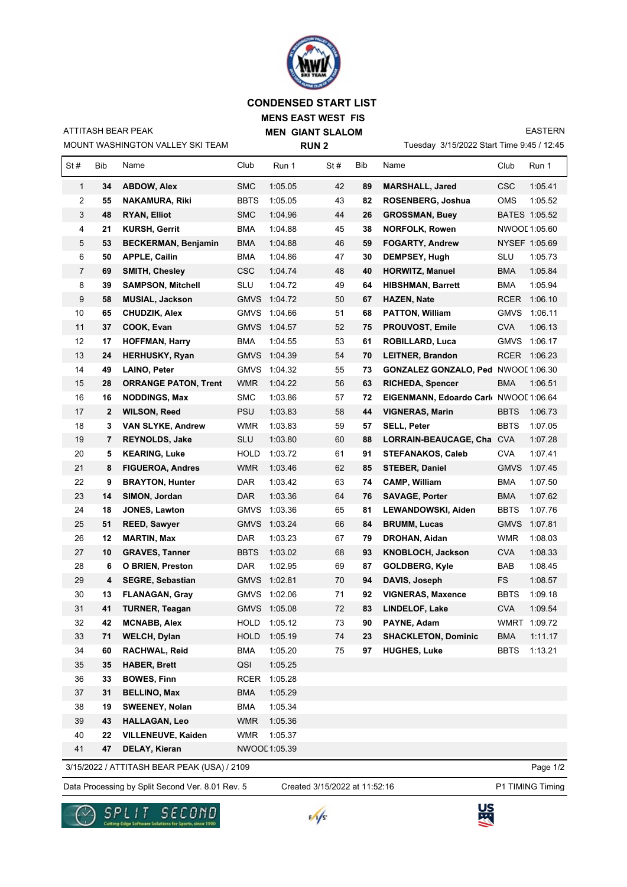

## **CONDENSED START LIST**

**MENS EAST WEST FIS MEN GIANT SLALOM RUN 2**

Tuesday 3/15/2022 Start Time 9:45 / 12:45 EASTERN

| St# | Bib          | Name                        | Club        | Run 1         | St# | Bib | Name                                  | Club        | Run 1         |
|-----|--------------|-----------------------------|-------------|---------------|-----|-----|---------------------------------------|-------------|---------------|
| 1   | 34           | <b>ABDOW, Alex</b>          | <b>SMC</b>  | 1:05.05       | 42  | 89  | <b>MARSHALL, Jared</b>                | <b>CSC</b>  | 1:05.41       |
| 2   | 55           | <b>NAKAMURA, Riki</b>       | <b>BBTS</b> | 1:05.05       | 43  | 82  | ROSENBERG, Joshua                     | OMS         | 1:05.52       |
| 3   | 48           | <b>RYAN, Elliot</b>         | <b>SMC</b>  | 1:04.96       | 44  | 26  | <b>GROSSMAN, Buey</b>                 |             | BATES 1:05.52 |
| 4   | 21           | <b>KURSH, Gerrit</b>        | BMA         | 1:04.88       | 45  | 38  | <b>NORFOLK, Rowen</b>                 |             | NWOOL 1:05.60 |
| 5   | 53           | <b>BECKERMAN, Benjamin</b>  | <b>BMA</b>  | 1:04.88       | 46  | 59  | <b>FOGARTY, Andrew</b>                |             | NYSEF 1:05.69 |
| 6   | 50           | <b>APPLE, Cailin</b>        | BMA         | 1:04.86       | 47  | 30  | DEMPSEY, Hugh                         | <b>SLU</b>  | 1:05.73       |
| 7   | 69           | <b>SMITH, Chesley</b>       | <b>CSC</b>  | 1:04.74       | 48  | 40  | <b>HORWITZ, Manuel</b>                | BMA         | 1:05.84       |
| 8   | 39           | <b>SAMPSON, Mitchell</b>    | <b>SLU</b>  | 1:04.72       | 49  | 64  | <b>HIBSHMAN, Barrett</b>              | BMA         | 1:05.94       |
| 9   | 58           | <b>MUSIAL, Jackson</b>      | <b>GMVS</b> | 1:04.72       | 50  | 67  | HAZEN, Nate                           | RCER        | 1:06.10       |
| 10  | 65           | <b>CHUDZIK, Alex</b>        | <b>GMVS</b> | 1:04.66       | 51  | 68  | <b>PATTON, William</b>                | <b>GMVS</b> | 1:06.11       |
| 11  | 37           | COOK, Evan                  | <b>GMVS</b> | 1:04.57       | 52  | 75  | <b>PROUVOST, Emile</b>                | <b>CVA</b>  | 1:06.13       |
| 12  | 17           | <b>HOFFMAN, Harry</b>       | <b>BMA</b>  | 1:04.55       | 53  | 61  | <b>ROBILLARD, Luca</b>                | GMVS        | 1:06.17       |
| 13  | 24           | <b>HERHUSKY, Ryan</b>       | <b>GMVS</b> | 1:04.39       | 54  | 70  | <b>LEITNER, Brandon</b>               |             | RCER 1:06.23  |
| 14  | 49           | <b>LAINO, Peter</b>         | <b>GMVS</b> | 1:04.32       | 55  | 73  | GONZALEZ GONZALO, Ped NWOOL 1:06.30   |             |               |
| 15  | 28           | <b>ORRANGE PATON, Trent</b> | <b>WMR</b>  | 1:04.22       | 56  | 63  | <b>RICHEDA, Spencer</b>               | <b>BMA</b>  | 1:06.51       |
| 16  | 16           | <b>NODDINGS, Max</b>        | <b>SMC</b>  | 1:03.86       | 57  | 72  | EIGENMANN, Edoardo Carl NWOOL 1:06.64 |             |               |
| 17  | $\mathbf{2}$ | <b>WILSON, Reed</b>         | <b>PSU</b>  | 1:03.83       | 58  | 44  | <b>VIGNERAS, Marin</b>                | <b>BBTS</b> | 1:06.73       |
| 18  | 3            | <b>VAN SLYKE, Andrew</b>    | <b>WMR</b>  | 1:03.83       | 59  | 57  | <b>SELL, Peter</b>                    | <b>BBTS</b> | 1:07.05       |
| 19  | 7            | <b>REYNOLDS, Jake</b>       | <b>SLU</b>  | 1:03.80       | 60  | 88  | <b>LORRAIN-BEAUCAGE, Cha</b>          | <b>CVA</b>  | 1:07.28       |
| 20  | 5            | <b>KEARING, Luke</b>        | <b>HOLD</b> | 1:03.72       | 61  | 91  | <b>STEFANAKOS, Caleb</b>              | CVA         | 1:07.41       |
| 21  | 8            | <b>FIGUEROA, Andres</b>     | <b>WMR</b>  | 1:03.46       | 62  | 85  | <b>STEBER, Daniel</b>                 | GMVS        | 1:07.45       |
| 22  | 9            | <b>BRAYTON, Hunter</b>      | DAR         | 1:03.42       | 63  | 74  | <b>CAMP, William</b>                  | BMA         | 1:07.50       |
| 23  | 14           | SIMON, Jordan               | DAR         | 1:03.36       | 64  | 76  | <b>SAVAGE, Porter</b>                 | BMA         | 1:07.62       |
| 24  | 18           | JONES, Lawton               | <b>GMVS</b> | 1:03.36       | 65  | 81  | LEWANDOWSKI, Aiden                    | BBTS        | 1:07.76       |
| 25  | 51           | <b>REED, Sawyer</b>         | <b>GMVS</b> | 1:03.24       | 66  | 84  | <b>BRUMM, Lucas</b>                   | GMVS        | 1:07.81       |
| 26  | 12           | <b>MARTIN, Max</b>          | DAR         | 1:03.23       | 67  | 79  | DROHAN, Aidan                         | <b>WMR</b>  | 1:08.03       |
| 27  | 10           | <b>GRAVES, Tanner</b>       | <b>BBTS</b> | 1:03.02       | 68  | 93  | <b>KNOBLOCH, Jackson</b>              | <b>CVA</b>  | 1:08.33       |
| 28  | 6            | <b>O BRIEN, Preston</b>     | <b>DAR</b>  | 1:02.95       | 69  | 87  | <b>GOLDBERG, Kyle</b>                 | BAB         | 1:08.45       |
| 29  | 4            | SEGRE, Sebastian            | <b>GMVS</b> | 1:02.81       | 70  | 94  | DAVIS, Joseph                         | FS          | 1:08.57       |
| 30  | 13           | <b>FLANAGAN, Gray</b>       | <b>GMVS</b> | 1:02.06       | 71  | 92  | <b>VIGNERAS, Maxence</b>              | <b>BBTS</b> | 1:09.18       |
| 31  | 41           | <b>TURNER, Teagan</b>       | <b>GMVS</b> | 1:05.08       | 72  | 83  | <b>LINDELOF, Lake</b>                 | <b>CVA</b>  | 1:09.54       |
| 32  | 42           | <b>MCNABB, Alex</b>         | <b>HOLD</b> | 1:05.12       | 73  | 90  | PAYNE, Adam                           |             | WMRT 1:09.72  |
| 33  | 71           | <b>WELCH, Dylan</b>         | <b>HOLD</b> | 1:05.19       | 74  | 23  | <b>SHACKLETON, Dominic</b>            | <b>BMA</b>  | 1:11.17       |
| 34  | 60           | RACHWAL, Reid               | <b>BMA</b>  | 1:05.20       | 75  | 97  | <b>HUGHES, Luke</b>                   | <b>BBTS</b> | 1:13.21       |
| 35  | 35           | <b>HABER, Brett</b>         | QSI         | 1:05.25       |     |     |                                       |             |               |
| 36  | 33           | <b>BOWES, Finn</b>          | RCER        | 1:05.28       |     |     |                                       |             |               |
| 37  | 31           | <b>BELLINO, Max</b>         | <b>BMA</b>  | 1:05.29       |     |     |                                       |             |               |
| 38  | 19           | <b>SWEENEY, Nolan</b>       | <b>BMA</b>  | 1:05.34       |     |     |                                       |             |               |
| 39  | 43           | HALLAGAN, Leo               | <b>WMR</b>  | 1:05.36       |     |     |                                       |             |               |
| 40  | 22           | VILLENEUVE, Kaiden          | <b>WMR</b>  | 1:05.37       |     |     |                                       |             |               |
| 41  | 47           | DELAY, Kieran               |             | NWOOL 1:05.39 |     |     |                                       |             |               |

3/15/2022 / ATTITASH BEAR PEAK (USA) / 2109

MOUNT WASHINGTON VALLEY SKI TEAM

ATTITASH BEAR PEAK

Data Processing by Split Second Ver. 8.01 Rev. 5 Created 3/15/2022 at 11:52:16 P1 TIMING Timing

Created 3/15/2022 at 11:52:16

Page 1/2